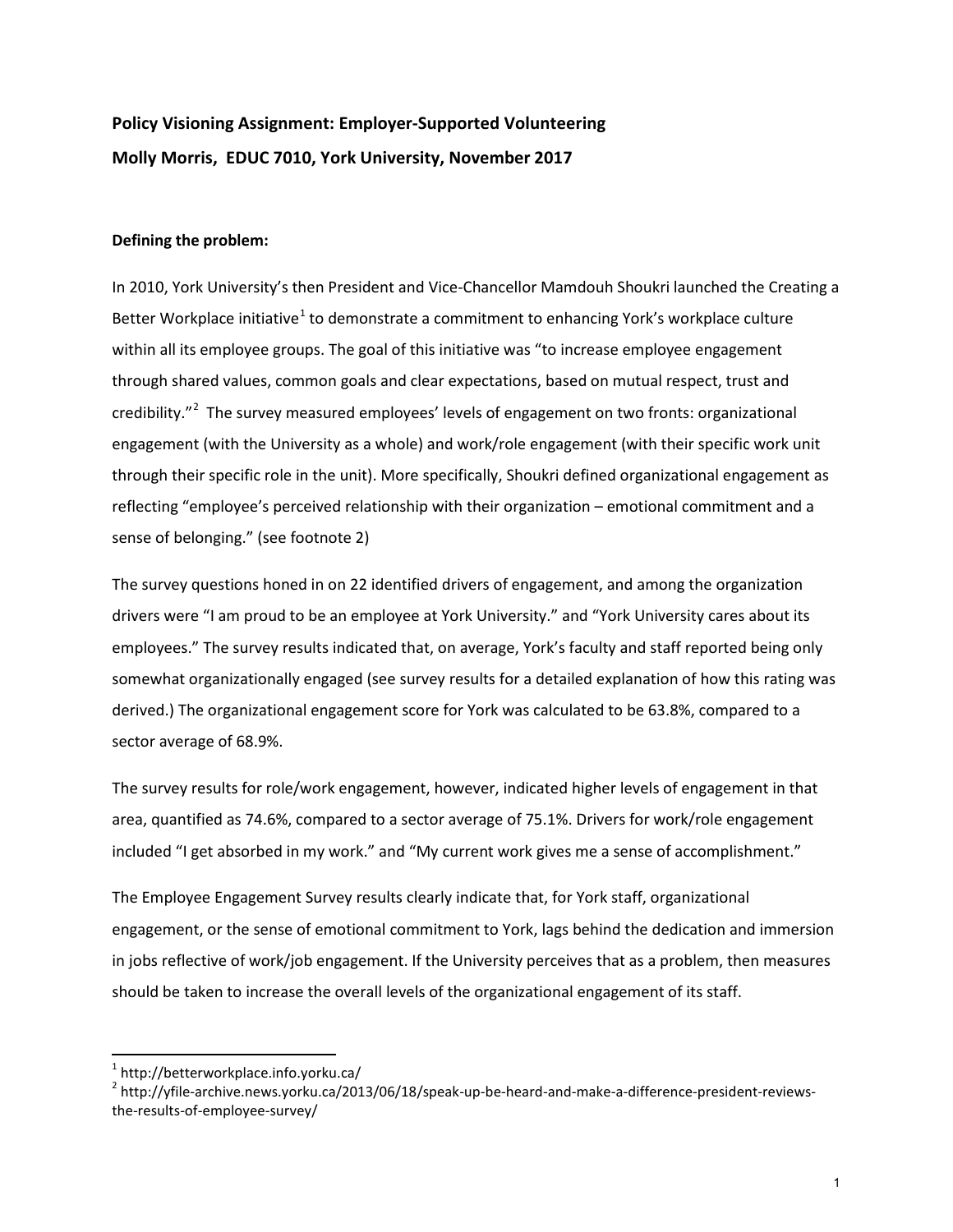# **Policy Visioning Assignment: Employer-Supported Volunteering Molly Morris, EDUC 7010, York University, November 2017**

### **Defining the problem:**

In 2010, York University's then President and Vice-Chancellor Mamdouh Shoukri launched the Creating a Better Workplace initiative<sup>[1](#page-0-0)</sup> to demonstrate a commitment to enhancing York's workplace culture within all its employee groups. The goal of this initiative was "to increase employee engagement through shared values, common goals and clear expectations, based on mutual respect, trust and credibility."<sup>[2](#page-0-1)</sup> The survey measured employees' levels of engagement on two fronts: organizational engagement (with the University as a whole) and work/role engagement (with their specific work unit through their specific role in the unit). More specifically, Shoukri defined organizational engagement as reflecting "employee's perceived relationship with their organization – emotional commitment and a sense of belonging." (see footnote 2)

The survey questions honed in on 22 identified drivers of engagement, and among the organization drivers were "I am proud to be an employee at York University." and "York University cares about its employees." The survey results indicated that, on average, York's faculty and staff reported being only somewhat organizationally engaged (see survey results for a detailed explanation of how this rating was derived.) The organizational engagement score for York was calculated to be 63.8%, compared to a sector average of 68.9%.

The survey results for role/work engagement, however, indicated higher levels of engagement in that area, quantified as 74.6%, compared to a sector average of 75.1%. Drivers for work/role engagement included "I get absorbed in my work." and "My current work gives me a sense of accomplishment."

The Employee Engagement Survey results clearly indicate that, for York staff, organizational engagement, or the sense of emotional commitment to York, lags behind the dedication and immersion in jobs reflective of work/job engagement. If the University perceives that as a problem, then measures should be taken to increase the overall levels of the organizational engagement of its staff.

<span id="page-0-0"></span><sup>1</sup> http://betterworkplace.info.yorku.ca/

<span id="page-0-1"></span><sup>&</sup>lt;sup>2</sup> [http://yfile-archive.news.yorku.ca/2013/06/18/speak-up-be-heard-and-make-a-difference-president-reviews](http://yfile-archive.news.yorku.ca/2013/06/18/speak-up-be-heard-and-make-a-difference-president-reviews-the-results-of-employee-survey/)[the-results-of-employee-survey/](http://yfile-archive.news.yorku.ca/2013/06/18/speak-up-be-heard-and-make-a-difference-president-reviews-the-results-of-employee-survey/)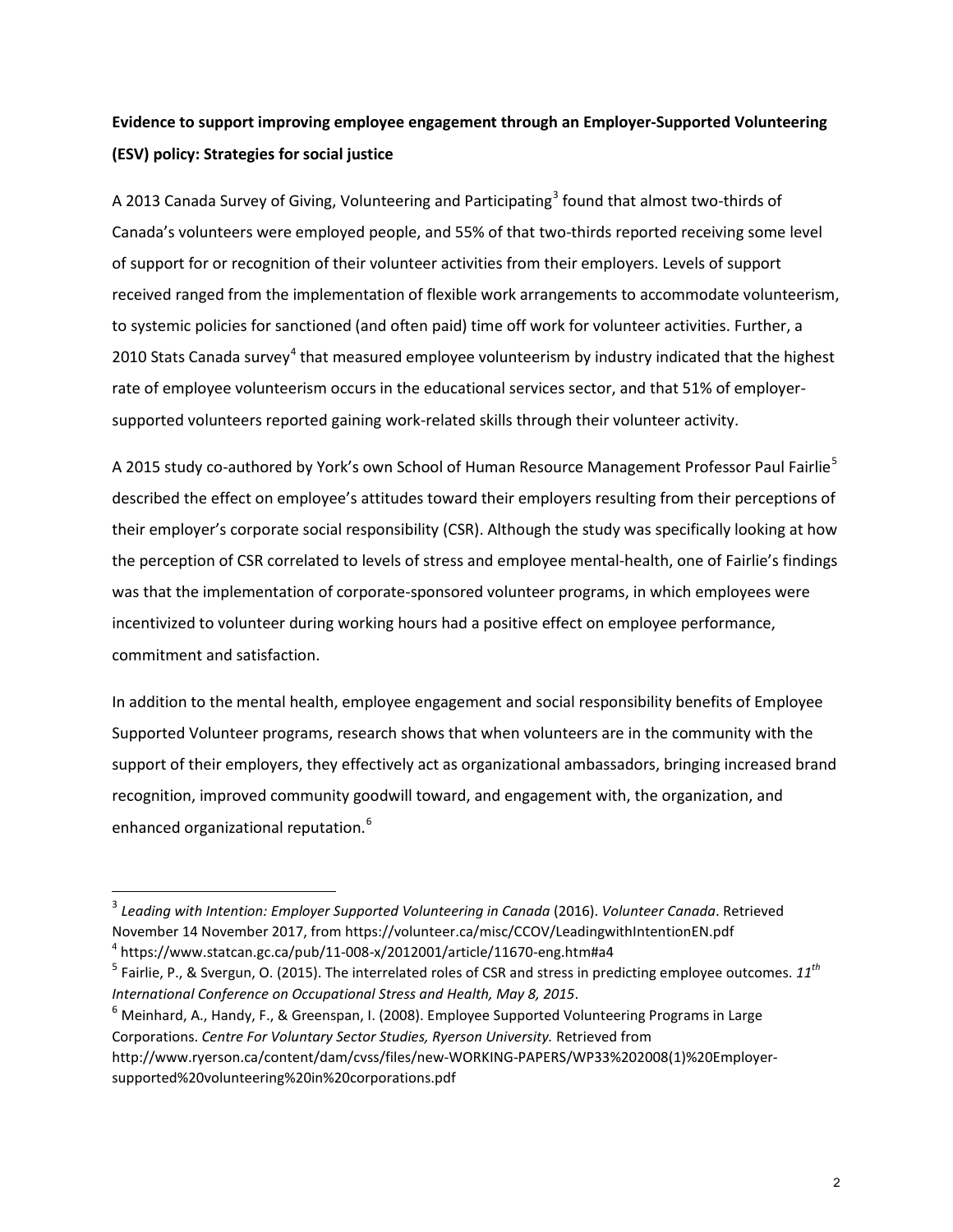## **Evidence to support improving employee engagement through an Employer-Supported Volunteering (ESV) policy: Strategies for social justice**

A 201[3](#page-1-0) Canada Survey of Giving, Volunteering and Participating<sup>3</sup> found that almost two-thirds of Canada's volunteers were employed people, and 55% of that two-thirds reported receiving some level of support for or recognition of their volunteer activities from their employers. Levels of support received ranged from the implementation of flexible work arrangements to accommodate volunteerism, to systemic policies for sanctioned (and often paid) time off work for volunteer activities. Further, a 2010 Stats Canada survey<sup>[4](#page-1-1)</sup> that measured employee volunteerism by industry indicated that the highest rate of employee volunteerism occurs in the educational services sector, and that 51% of employersupported volunteers reported gaining work-related skills through their volunteer activity.

A 201[5](#page-1-2) study co-authored by York's own School of Human Resource Management Professor Paul Fairlie<sup>5</sup> described the effect on employee's attitudes toward their employers resulting from their perceptions of their employer's corporate social responsibility (CSR). Although the study was specifically looking at how the perception of CSR correlated to levels of stress and employee mental-health, one of Fairlie's findings was that the implementation of corporate-sponsored volunteer programs, in which employees were incentivized to volunteer during working hours had a positive effect on employee performance, commitment and satisfaction.

In addition to the mental health, employee engagement and social responsibility benefits of Employee Supported Volunteer programs, research shows that when volunteers are in the community with the support of their employers, they effectively act as organizational ambassadors, bringing increased brand recognition, improved community goodwill toward, and engagement with, the organization, and enhanced organizational reputation.<sup>[6](#page-1-3)</sup>

 $\overline{\phantom{a}}$ 

<span id="page-1-0"></span><sup>3</sup> *Leading with Intention: Employer Supported Volunteering in Canada* (2016). *Volunteer Canada*. Retrieved November 14 November 2017, from https://volunteer.ca/misc/CCOV/LeadingwithIntentionEN.pdf

<span id="page-1-1"></span> $4$  https://www.statcan.gc.ca/pub/11-008-x/2012001/article/11670-eng.htm#a4

<span id="page-1-2"></span><sup>5</sup> Fairlie, P., & Svergun, O. (2015). The interrelated roles of CSR and stress in predicting employee outcomes. *11th International Conference on Occupational Stress and Health, May 8, 2015*.<br><sup>6</sup> Meinhard, A., Handy, F., & Greenspan, I. (2008). Employee Supported Volunteering Programs in Large

<span id="page-1-3"></span>Corporations. *Centre For Voluntary Sector Studies, Ryerson University.* Retrieved from http://www.ryerson.ca/content/dam/cvss/files/new-WORKING-PAPERS/WP33%202008(1)%20Employersupported%20volunteering%20in%20corporations.pdf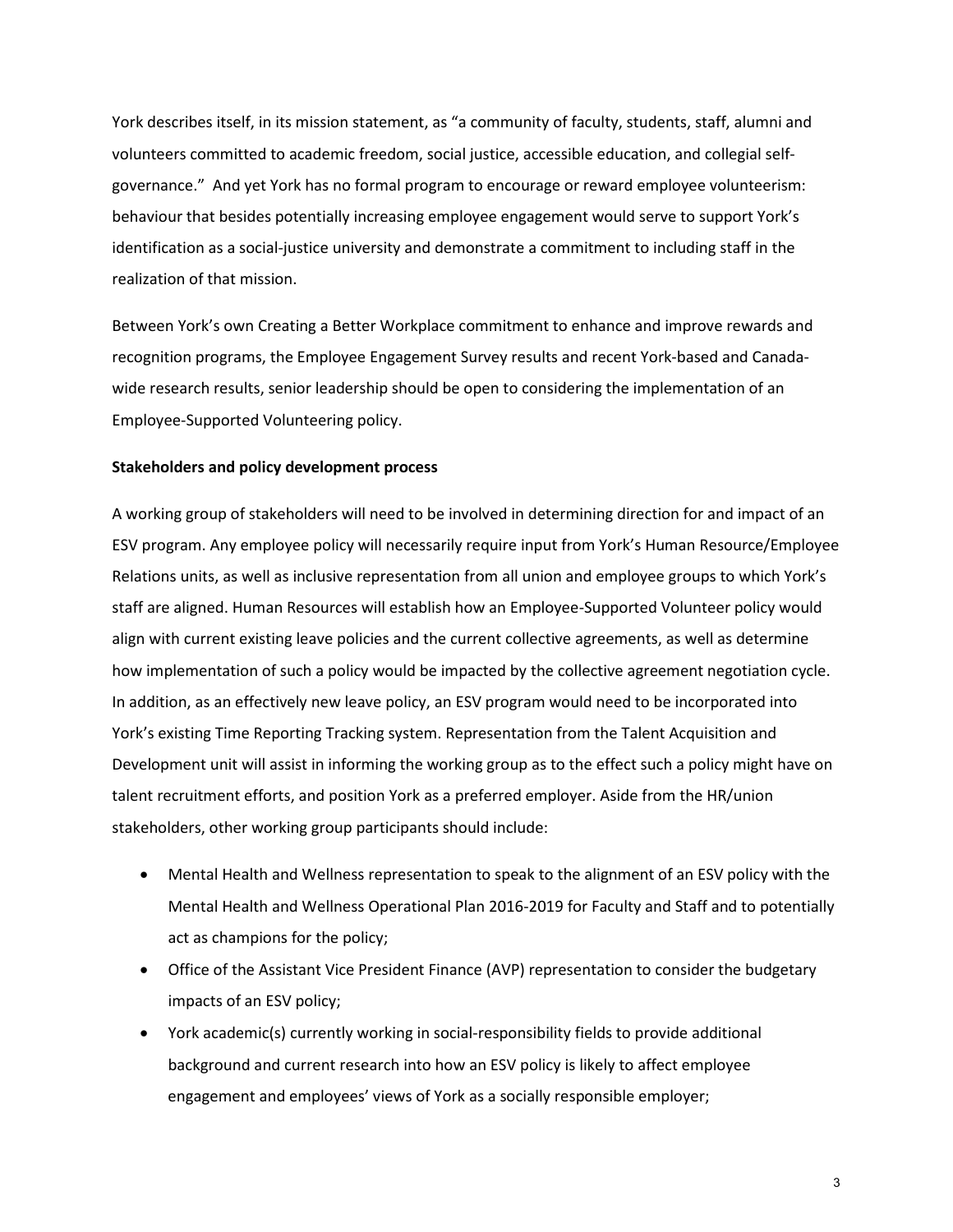York describes itself, in its mission statement, as "a community of faculty, students, staff, alumni and volunteers committed to academic freedom, social justice, accessible education, and collegial selfgovernance." And yet York has no formal program to encourage or reward employee volunteerism: behaviour that besides potentially increasing employee engagement would serve to support York's identification as a social-justice university and demonstrate a commitment to including staff in the realization of that mission.

Between York's own Creating a Better Workplace commitment to enhance and improve rewards and recognition programs, the Employee Engagement Survey results and recent York-based and Canadawide research results, senior leadership should be open to considering the implementation of an Employee-Supported Volunteering policy.

#### **Stakeholders and policy development process**

A working group of stakeholders will need to be involved in determining direction for and impact of an ESV program. Any employee policy will necessarily require input from York's Human Resource/Employee Relations units, as well as inclusive representation from all union and employee groups to which York's staff are aligned. Human Resources will establish how an Employee-Supported Volunteer policy would align with current existing leave policies and the current collective agreements, as well as determine how implementation of such a policy would be impacted by the collective agreement negotiation cycle. In addition, as an effectively new leave policy, an ESV program would need to be incorporated into York's existing Time Reporting Tracking system. Representation from the Talent Acquisition and Development unit will assist in informing the working group as to the effect such a policy might have on talent recruitment efforts, and position York as a preferred employer. Aside from the HR/union stakeholders, other working group participants should include:

- Mental Health and Wellness representation to speak to the alignment of an ESV policy with the Mental Health and Wellness Operational Plan 2016-2019 for Faculty and Staff and to potentially act as champions for the policy;
- Office of the Assistant Vice President Finance (AVP) representation to consider the budgetary impacts of an ESV policy;
- York academic(s) currently working in social-responsibility fields to provide additional background and current research into how an ESV policy is likely to affect employee engagement and employees' views of York as a socially responsible employer;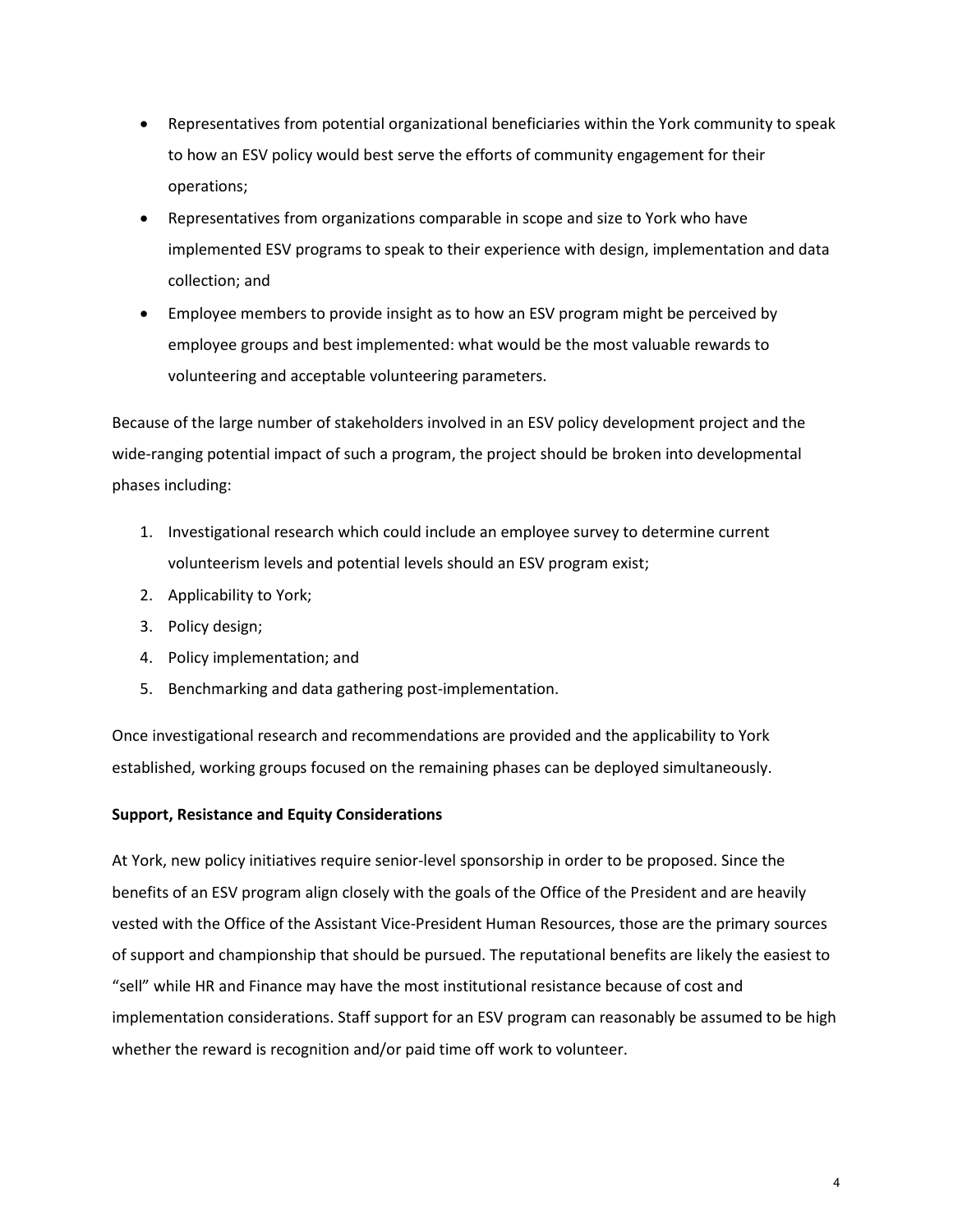- Representatives from potential organizational beneficiaries within the York community to speak to how an ESV policy would best serve the efforts of community engagement for their operations;
- Representatives from organizations comparable in scope and size to York who have implemented ESV programs to speak to their experience with design, implementation and data collection; and
- Employee members to provide insight as to how an ESV program might be perceived by employee groups and best implemented: what would be the most valuable rewards to volunteering and acceptable volunteering parameters.

Because of the large number of stakeholders involved in an ESV policy development project and the wide-ranging potential impact of such a program, the project should be broken into developmental phases including:

- 1. Investigational research which could include an employee survey to determine current volunteerism levels and potential levels should an ESV program exist;
- 2. Applicability to York;
- 3. Policy design;
- 4. Policy implementation; and
- 5. Benchmarking and data gathering post-implementation.

Once investigational research and recommendations are provided and the applicability to York established, working groups focused on the remaining phases can be deployed simultaneously.

### **Support, Resistance and Equity Considerations**

At York, new policy initiatives require senior-level sponsorship in order to be proposed. Since the benefits of an ESV program align closely with the goals of the Office of the President and are heavily vested with the Office of the Assistant Vice-President Human Resources, those are the primary sources of support and championship that should be pursued. The reputational benefits are likely the easiest to "sell" while HR and Finance may have the most institutional resistance because of cost and implementation considerations. Staff support for an ESV program can reasonably be assumed to be high whether the reward is recognition and/or paid time off work to volunteer.